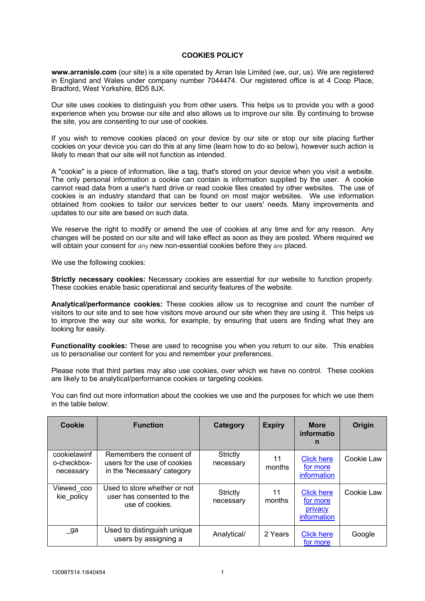## **COOKIES POLICY**

**[www.arranisle.com](https://www.arranisle.com/)** (our site) is a site operated by Arran Isle Limited (we, our, us). We are registered in England and Wales under company number 7044474. Our registered office is at 4 Coop Place, Bradford, West Yorkshire, BD5 8JX.

Our site uses cookies to distinguish you from other users. This helps us to provide you with a good experience when you browse our site and also allows us to improve our site. By continuing to browse the site, you are consenting to our use of cookies.

If you wish to remove cookies placed on your device by our site or stop our site placing further cookies on your device you can do this at any time (learn how to do so below), however such action is likely to mean that our site will not function as intended.

A "cookie" is a piece of information, like a tag, that's stored on your device when you visit a website. The only personal information a cookie can contain is information supplied by the user. A cookie cannot read data from a user's hard drive or read cookie files created by other websites. The use of cookies is an industry standard that can be found on most major websites. We use information obtained from cookies to tailor our services better to our users' needs. Many improvements and updates to our site are based on such data.

We reserve the right to modify or amend the use of cookies at any time and for any reason. Any changes will be posted on our site and will take effect as soon as they are posted. Where required we will obtain your consent for any new non-essential cookies before they are placed.

We use the following cookies:

**Strictly necessary cookies:** Necessary cookies are essential for our website to function properly. These cookies enable basic operational and security features of the website.

**Analytical/performance cookies:** These cookies allow us to recognise and count the number of visitors to our site and to see how visitors move around our site when they are using it. This helps us to improve the way our site works, for example, by ensuring that users are finding what they are looking for easily.

**Functionality cookies:** These are used to recognise you when you return to our site. This enables us to personalise our content for you and remember your preferences.

Please note that third parties may also use cookies, over which we have no control. These cookies are likely to be analytical/performance cookies or targeting cookies.

You can find out more information about the cookies we use and the purposes for which we use them in the table below:

| Cookie                                   | <b>Function</b>                                                                         | Category              | <b>Expiry</b> | <b>More</b><br>informatio<br>n                          | Origin     |
|------------------------------------------|-----------------------------------------------------------------------------------------|-----------------------|---------------|---------------------------------------------------------|------------|
| cookielawinf<br>o-checkbox-<br>necessary | Remembers the consent of<br>users for the use of cookies<br>in the 'Necessary' category | Strictly<br>necessary | 11<br>months  | <b>Click here</b><br>for more<br>information            | Cookie Law |
| Viewed coo<br>kie policy                 | Used to store whether or not<br>user has consented to the<br>use of cookies.            | Strictly<br>necessary | 11<br>months  | <b>Click here</b><br>for more<br>privacy<br>information | Cookie Law |
| _ga                                      | Used to distinguish unique<br>users by assigning a                                      | Analytical/           | 2 Years       | <b>Click here</b><br>for more                           | Google     |